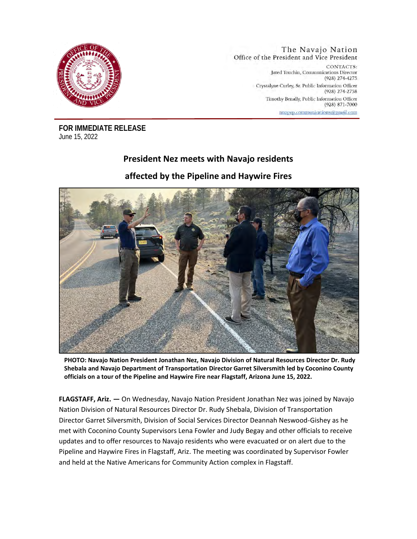

The Navajo Nation Office of the President and Vice President CONTACTS: Jared Touchin, Communications Director (928) 274-4275 Crystalyne Curley, Sr. Public Information Officer (928) 274-2758 Timothy Benally, Public Information Officer  $(928) 871 - 7000$ nnopyp.communications@gmail.com

**FOR IMMEDIATE RELEASE** June 15, 2022

## **President Nez meets with Navajo residents**

## **affected by the Pipeline and Haywire Fires**



**PHOTO: Navajo Nation President Jonathan Nez, Navajo Division of Natural Resources Director Dr. Rudy Shebala and Navajo Department of Transportation Director Garret Silversmith led by Coconino County officials on a tour of the Pipeline and Haywire Fire near Flagstaff, Arizona June 15, 2022.**

**FLAGSTAFF, Ariz. —** On Wednesday, Navajo Nation President Jonathan Nez was joined by Navajo Nation Division of Natural Resources Director Dr. Rudy Shebala, Division of Transportation Director Garret Silversmith, Division of Social Services Director Deannah Neswood-Gishey as he met with Coconino County Supervisors Lena Fowler and Judy Begay and other officials to receive updates and to offer resources to Navajo residents who were evacuated or on alert due to the Pipeline and Haywire Fires in Flagstaff, Ariz. The meeting was coordinated by Supervisor Fowler and held at the Native Americans for Community Action complex in Flagstaff.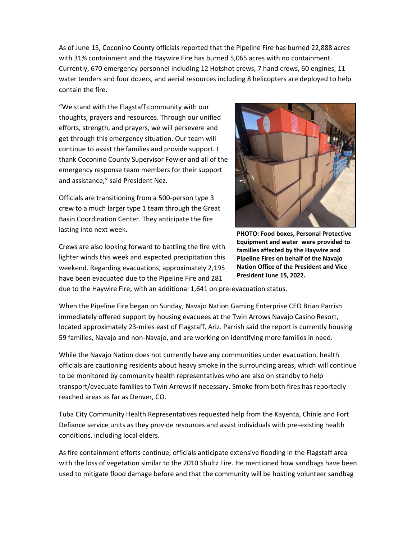As of June 15, Coconino County officials reported that the Pipeline Fire has burned 22,888 acres with 31% containment and the Haywire Fire has burned 5,065 acres with no containment. Currently, 670 emergency personnel including 12 Hotshot crews, 7 hand crews, 60 engines, 11 water tenders and four dozers, and aerial resources including 8 helicopters are deployed to help contain the fire.

"We stand with the Flagstaff community with our thoughts, prayers and resources. Through our unified efforts, strength, and prayers, we will persevere and get through this emergency situation. Our team will continue to assist the families and provide support. I thank Coconino County Supervisor Fowler and all of the emergency response team members for their support and assistance," said President Nez.

Officials are transitioning from a 500-person type 3 crew to a much larger type 1 team through the Great Basin Coordination Center. They anticipate the fire lasting into next week.

Crews are also looking forward to battling the fire with lighter winds this week and expected precipitation this weekend. Regarding evacuations, approximately 2,195 have been evacuated due to the Pipeline Fire and 281



**PHOTO: Food boxes, Personal Protective Equipment and water were provided to families affected by the Haywire and Pipeline Fires on behalf of the Navajo Nation Office of the President and Vice President June 15, 2022.**

due to the Haywire Fire, with an additional 1,641 on pre-evacuation status.

When the Pipeline Fire began on Sunday, Navajo Nation Gaming Enterprise CEO Brian Parrish immediately offered support by housing evacuees at the Twin Arrows Navajo Casino Resort, located approximately 23-miles east of Flagstaff, Ariz. Parrish said the report is currently housing 59 families, Navajo and non-Navajo, and are working on identifying more families in need.

While the Navajo Nation does not currently have any communities under evacuation, health officials are cautioning residents about heavy smoke in the surrounding areas, which will continue to be monitored by community health representatives who are also on standby to help transport/evacuate families to Twin Arrows if necessary. Smoke from both fires has reportedly reached areas as far as Denver, CO.

Tuba City Community Health Representatives requested help from the Kayenta, Chinle and Fort Defiance service units as they provide resources and assist individuals with pre-existing health conditions, including local elders.

As fire containment efforts continue, officials anticipate extensive flooding in the Flagstaff area with the loss of vegetation similar to the 2010 Shultz Fire. He mentioned how sandbags have been used to mitigate flood damage before and that the community will be hosting volunteer sandbag